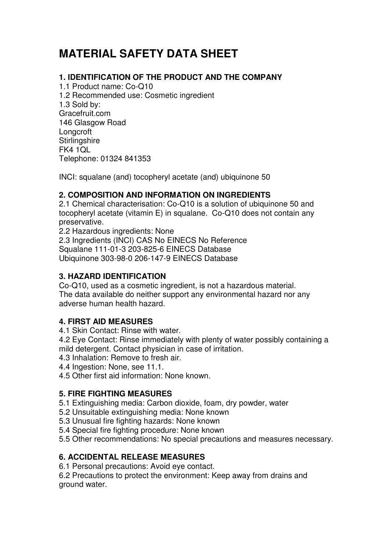# **MATERIAL SAFETY DATA SHEET**

## **1. IDENTIFICATION OF THE PRODUCT AND THE COMPANY**

1.1 Product name: Co-Q10 1.2 Recommended use: Cosmetic ingredient 1.3 Sold by: Gracefruit.com 146 Glasgow Road **Longcroft Stirlingshire** FK4 1QL Telephone: 01324 841353

INCI: squalane (and) tocopheryl acetate (and) ubiquinone 50

## **2. COMPOSITION AND INFORMATION ON INGREDIENTS**

2.1 Chemical characterisation: Co-Q10 is a solution of ubiquinone 50 and tocopheryl acetate (vitamin E) in squalane. Co-Q10 does not contain any preservative.

2.2 Hazardous ingredients: None

2.3 Ingredients (INCI) CAS No EINECS No Reference Squalane 111-01-3 203-825-6 EINECS Database Ubiquinone 303-98-0 206-147-9 EINECS Database

## **3. HAZARD IDENTIFICATION**

Co-Q10, used as a cosmetic ingredient, is not a hazardous material. The data available do neither support any environmental hazard nor any adverse human health hazard.

## **4. FIRST AID MEASURES**

4.1 Skin Contact: Rinse with water.

4.2 Eye Contact: Rinse immediately with plenty of water possibly containing a mild detergent. Contact physician in case of irritation.

- 4.3 Inhalation: Remove to fresh air.
- 4.4 Ingestion: None, see 11.1.
- 4.5 Other first aid information: None known.

## **5. FIRE FIGHTING MEASURES**

5.1 Extinguishing media: Carbon dioxide, foam, dry powder, water

- 5.2 Unsuitable extinguishing media: None known
- 5.3 Unusual fire fighting hazards: None known
- 5.4 Special fire fighting procedure: None known
- 5.5 Other recommendations: No special precautions and measures necessary.

# **6. ACCIDENTAL RELEASE MEASURES**

6.1 Personal precautions: Avoid eye contact.

6.2 Precautions to protect the environment: Keep away from drains and ground water.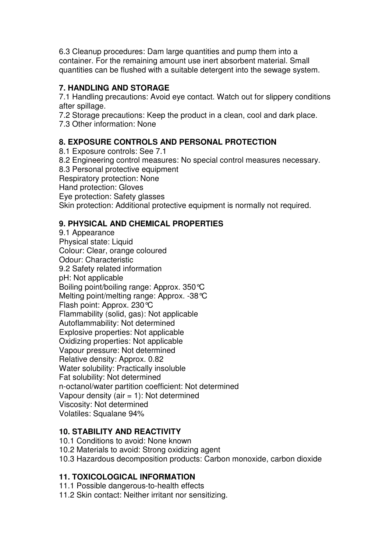6.3 Cleanup procedures: Dam large quantities and pump them into a container. For the remaining amount use inert absorbent material. Small quantities can be flushed with a suitable detergent into the sewage system.

## **7. HANDLING AND STORAGE**

7.1 Handling precautions: Avoid eye contact. Watch out for slippery conditions after spillage.

7.2 Storage precautions: Keep the product in a clean, cool and dark place. 7.3 Other information: None

## **8. EXPOSURE CONTROLS AND PERSONAL PROTECTION**

8.1 Exposure controls: See 7.1 8.2 Engineering control measures: No special control measures necessary. 8.3 Personal protective equipment Respiratory protection: None Hand protection: Gloves Eye protection: Safety glasses Skin protection: Additional protective equipment is normally not required.

## **9. PHYSICAL AND CHEMICAL PROPERTIES**

9.1 Appearance Physical state: Liquid Colour: Clear, orange coloured Odour: Characteristic 9.2 Safety related information pH: Not applicable Boiling point/boiling range: Approx. 350°C Melting point/melting range: Approx. -38°C Flash point: Approx. 230°C Flammability (solid, gas): Not applicable Autoflammability: Not determined Explosive properties: Not applicable Oxidizing properties: Not applicable Vapour pressure: Not determined Relative density: Approx. 0.82 Water solubility: Practically insoluble Fat solubility: Not determined n-octanol/water partition coefficient: Not determined Vapour density (air  $= 1$ ): Not determined Viscosity: Not determined Volatiles: Squalane 94%

## **10. STABILITY AND REACTIVITY**

- 10.1 Conditions to avoid: None known
- 10.2 Materials to avoid: Strong oxidizing agent
- 10.3 Hazardous decomposition products: Carbon monoxide, carbon dioxide

## **11. TOXICOLOGICAL INFORMATION**

- 11.1 Possible dangerous-to-health effects
- 11.2 Skin contact: Neither irritant nor sensitizing.